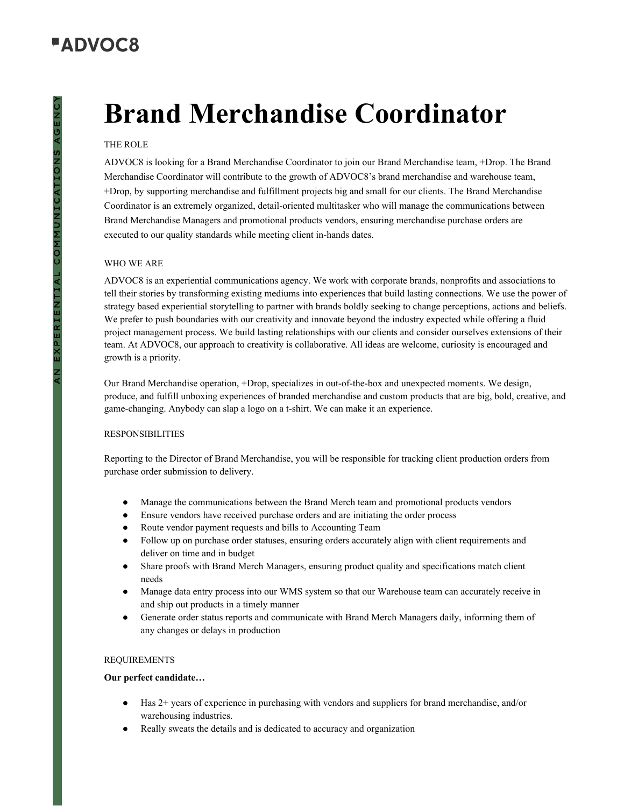# **"ADVOC8**

# EXPERIENTIAL COMMUNIONS AGENC

# **Brand Merchandise Coordinator**

### THE ROLE

ADVOC8 is looking for a Brand Merchandise Coordinator to join our Brand Merchandise team, +Drop. The Brand Merchandise Coordinator will contribute to the growth of ADVOC8's brand merchandise and warehouse team, +Drop, by supporting merchandise and fulfillment projects big and small for our clients. The Brand Merchandise Coordinator is an extremely organized, detail-oriented multitasker who will manage the communications between Brand Merchandise Managers and promotional products vendors, ensuring merchandise purchase orders are executed to our quality standards while meeting client in-hands dates.

### WHO WE ARE

ADVOC8 is an experiential communications agency. We work with corporate brands, nonprofits and associations to tell their stories by transforming existing mediums into experiences that build lasting connections. We use the power of strategy based experiential storytelling to partner with brands boldly seeking to change perceptions, actions and beliefs. We prefer to push boundaries with our creativity and innovate beyond the industry expected while offering a fluid project management process. We build lasting relationships with our clients and consider ourselves extensions of their team. At ADVOC8, our approach to creativity is collaborative. All ideas are welcome, curiosity is encouraged and growth is a priority.

Our Brand Merchandise operation, +Drop, specializes in out-of-the-box and unexpected moments. We design, produce, and fulfill unboxing experiences of branded merchandise and custom products that are big, bold, creative, and game-changing. Anybody can slap a logo on a t-shirt. We can make it an experience.

### **RESPONSIBILITIES**

Reporting to the Director of Brand Merchandise, you will be responsible for tracking client production orders from purchase order submission to delivery.

- Manage the communications between the Brand Merch team and promotional products vendors
- Ensure vendors have received purchase orders and are initiating the order process
- Route vendor payment requests and bills to Accounting Team
- Follow up on purchase order statuses, ensuring orders accurately align with client requirements and deliver on time and in budget
- Share proofs with Brand Merch Managers, ensuring product quality and specifications match client needs
- Manage data entry process into our WMS system so that our Warehouse team can accurately receive in and ship out products in a timely manner
- Generate order status reports and communicate with Brand Merch Managers daily, informing them of any changes or delays in production

### REQUIREMENTS

### **Our perfect candidate…**

- Has 2+ years of experience in purchasing with vendors and suppliers for brand merchandise, and/or warehousing industries.
- Really sweats the details and is dedicated to accuracy and organization